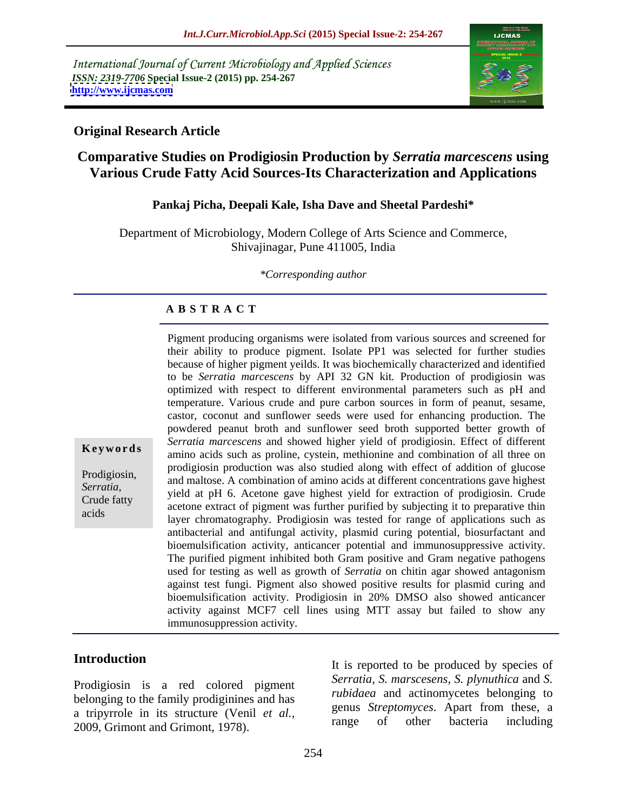International Journal of Current Microbiology and Applied Sciences *ISSN: 2319-7706* **Special Issue-2 (2015) pp. 254-267 <http://www.ijcmas.com>**



#### **Original Research Article**

## **Comparative Studies on Prodigiosin Production by** *Serratia marcescens* **using Various Crude Fatty Acid Sources-Its Characterization and Applications**

#### **Pankaj Picha, Deepali Kale, Isha Dave and Sheetal Pardeshi\***

Department of Microbiology, Modern College of Arts Science and Commerce, Shivajinagar, Pune 411005, India

*\*Corresponding author*

#### **A B S T R A C T**

Pigment producing organisms were isolated from various sources and screened for their ability to produce pigment. Isolate PP1 was selected for further studies because of higher pigment yeilds. It was biochemically characterized and identified to be *Serratia marcescens* by API 32 GN kit*.* Production of prodigiosin was optimized with respect to different environmental parameters such as pH and temperature. Various crude and pure carbon sources in form of peanut, sesame, castor, coconut and sunflower seeds were used for enhancing production. The powdered peanut broth and sunflower seed broth supported better growth of *Serratia marcescens* and showed higher yield of prodigiosin. Effect of different amino acids such as proline, cystein, methionine and combination of all three on **Ke ywo rds** prodigiosin production was also studied along with effect of addition of glucose Prodigiosin, and maltose. A combination of amino acids at different concentrations gave highest production and maltose. A combination of amino acids at different concentrations gave highest Serratia,<br>
yield at pH 6. Acetone gave highest yield for extraction of prodigiosin. Crude<br>
contenue the contenues of picture fact the production of the properties the acetone extract of pigment was further purified by subjecting it to preparative thin layer chromatography. Prodigiosin was tested for range of applications such as antibacterial and antifungal activity, plasmid curing potential, biosurfactant and bioemulsification activity, anticancer potential and immunosuppressive activity. The purified pigment inhibited both Gram positive and Gram negative pathogens used for testing as well as growth of *Serratia* on chitin agar showed antagonism against test fungi. Pigment also showed positive results for plasmid curing and bioemulsification activity. Prodigiosin in 20% DMSO also showed anticancer activity against MCF7 cell lines using MTT assay but failed to show any immunosuppression activity.

acids

Prodigiosin is a red colored pigment belonging to the family prodiginines and has a tripyrrole in its structure (Venil *et al.*,<br>
a range of other bacteria including<br>
a component and Criment 1079.

Introduction<br>It is reported to be produced by species of Frodigiosin is a red colored pigment<br>
belonging to the family prodiginines and has<br>
a tripyrrole in its structure (Venil *et al.*, a sensitive produced by species of *rubidaea* and actinomycetes belonging to<br>
a tripyrrole *Serratia, S. marscesens, S. plynuthica* and *S. rubidaea* and actinomycetes belonging to genus *Streptomyces*. Apart from these, a range of other bacteria including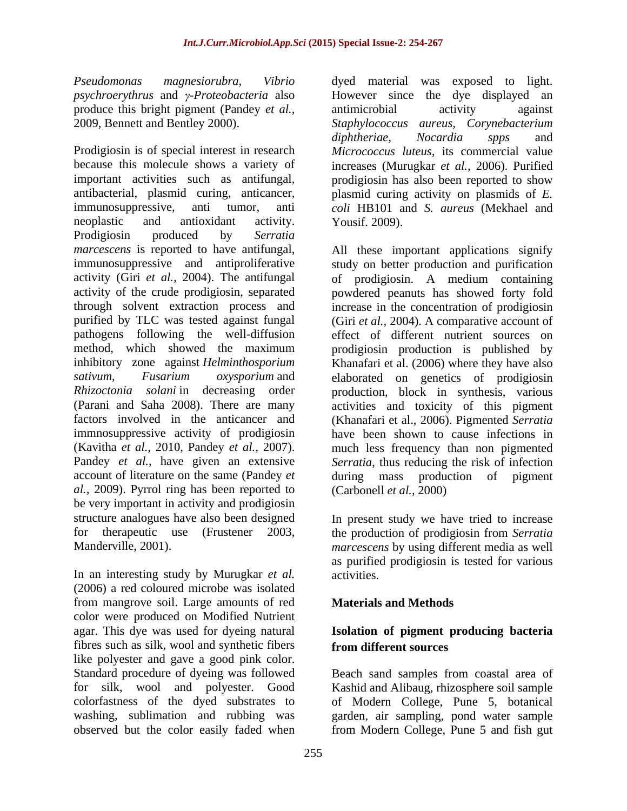*psychroerythrus* and *y-Proteobacteria* also produce this bright pigment (Pandey *et al.*, antimicrobial activity against

because this molecule shows a variety of increases (Murugkar *et al.,* 2006). Purified important activities such as antifungal, prodigiosin has also been reported to show antibacterial, plasmid curing, anticancer, immunosuppressive, anti tumor, anti *coli* HB101 and *S. aureus* (Mekhael and neoplastic and antioxidant activity. Yousif. 2009). Prodigiosin produced by *Serratia marcescens* is reported to have antifungal, All these important applications signify immunosuppressive and antiproliferative study on better production and purification activity (Giri *et al.,* 2004). The antifungal of prodigiosin. A medium containing activity of the crude prodigiosin, separated powdered peanuts has showed forty fold through solvent extraction process and increase in the concentration of prodigiosin purified by TLC was tested against fungal (Giri *et al., 2004)*. A comparative account of pathogens following the well-diffusion effect of different nutrient sources on method, which showed the maximum prodigiosin production is published by inhibitory zone against *Helminthosporium*  Khanafari et al. (2006) where they have also *sativum, Fusarium oxysporium* and elaborated on genetics of prodigiosin *Rhizoctonia solani* in decreasing order production, block in synthesis, various (Parani and Saha 2008). There are many activities and toxicity of this pigment factors involved in the anticancer and (Khanafari et al., 2006). Pigmented *Serratia* immnosuppressive activity of prodigiosin (Kavitha *et al.,* 2010, Pandey *et al.,* 2007). The much less frequency than non pigmented Pandey *et al.,* have given an extensive *Serratia*, thus reducing the risk of infection account of literature on the same (Pandey *et al.,* 2009). Pyrrol ring has been reported to be very important in activity and prodigiosin structure analogues have also been designed

(2006) a red coloured microbe was isolated from mangrove soil. Large amounts of red color were produced on Modified Nutrient agar. This dye was used for dyeing natural **Isolation of pigment producing bacteria** fibres such as silk, wool and synthetic fibers like polyester and gave a good pink color. Standard procedure of dyeing was followed Beach sand samples from coastal area of for silk, wool and polyester. Good Kashid and Alibaug, rhizosphere soil sample colorfastness of the dyed substrates to of Modern College, Pune 5, botanical washing, sublimation and rubbing was garden, air sampling, pond water sample

*Pseudomonas magnesiorubra, Vibrio* dyed material was exposed to light. 2009, Bennett and Bentley 2000). Staphylococcus aureus, Corynebacterium<br>diphtheriae, Nocardia spps and<br>Prodigiosin is of special interest in research Micrococcus luteus, its commercial value However since the dye displayed an antimicrobial activity against *Staphylococcus aureus, Corynebacterium diphtheriae, Nocardia spps* and *Micrococcus luteus,* its commercial value plasmid curing activity on plasmids of *E.*  Yousif. 2009).

> have been shown to cause infections in much less frequency than non pigmented *Serratia*, thus reducing the risk of infection production of pigment (Carbonell *et al.,* 2000)

for therapeutic use (Frustener 2003, the production of prodigiosin from *Serratia*<br>Manderville, 2001).<br>In an interesting study by Murugkar *et al.* activities. In present study we have tried to increase the production of prodigiosin from *Serratia marcescens* by using different media as well as purified prodigiosin is tested for various activities.

### **Materials and Methods**

# **from different sources**

observed but the color easily faded when from Modern College, Pune 5 and fish gut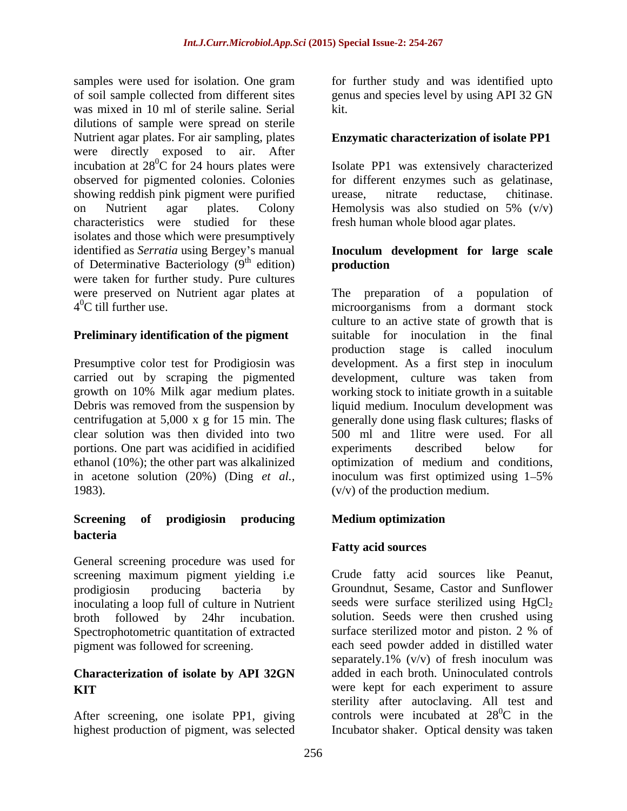samples were used for isolation. One gram for further study and was identified upto of soil sample collected from different sites genus and species level by using API 32 GN was mixed in 10 ml of sterile saline. Serial dilutions of sample were spread on sterile Nutrient agar plates. For air sampling, plates were directly exposed to air. After<br>incubation at  $28^0C$  for 24 hours plates were incubation at  $28^{\circ}$ C for 24 hours plates were Isolate PP1 was extensively characterized observed for pigmented colonies. Colonies for different enzymes such as gelatinase, showing reddish pink pigment were purified urease, nitrate reductase, chitinase. on Nutrient agar plates. Colony Hemolysis was also studied on  $5\%$  (v/v) characteristics were studied for these isolates and those which were presumptively identified as *Serratia* using Bergey's manual of Determinative Bacteriology  $(9<sup>th</sup>$  edition) **production** were taken for further study. Pure cultures were preserved on Nutrient agar plates at The preparation of a population of

#### **Preliminary identification of the pigment**

Presumptive color test for Prodigiosin was portions. One part was acidified in acidified in acetone solution (20%) (Ding *et al.,* 1983).

## **Screening of prodigiosin producing bacteria**

General screening procedure was used for screening maximum pigment yielding i.e inoculating a loop full of culture in Nutrient broth followed by 24hr incubation. Spectrophotometric quantitation of extracted

# **Characterization of isolate by API 32GN**

highest production of pigment, was selected

kit.

#### **Enzymatic characterization of isolate PP1**

urease, nitrate reductase, chitinase. Hemolysis was also studied on 5% (v/v) fresh human whole blood agar plates.

#### th edition) **production Inoculum development for large scale production**

4 0C till further use. microorganisms from a dormant stock carried out by scraping the pigmented development, culture was taken from growth on 10% Milk agar medium plates. working stock to initiate growth in a suitable Debris was removed from the suspension by liquid medium. Inoculum development was centrifugation at 5,000 x g for 15 min. The generally done using flask cultures; flasks of clear solution was then divided into two 500 ml and 1litre were used. For all ethanol (10%); the other part was alkalinized optimization of medium and conditions, culture to an active state of growth that is suitable for inoculation in the final production stage is called inoculum development. As a first step in inoculum experiments described below for inoculum was first optimized using  $1-5\%$ (v/v) of the production medium.

### **Medium optimization**

### **Fatty acid sources**

prodigiosin producing bacteria by Groundnut, Sesame, Castor and Sunflower pigment was followed for screening. each seed powder added in distilled water **KIT** were kept for each experiment to assure After screening, one isolate PP1, giving controls were incubated at  $28^{\circ}$ C in the Crude fatty acid sources like Peanut, seeds were surface sterilized using  $HgCl<sub>2</sub>$ solution. Seeds were then crushed using surface sterilized motor and piston. 2 % of separately.1%  $(v/v)$  of fresh inoculum was added in each broth. Uninoculated controls sterility after autoclaving. All test and  ${}^{0}C$  in the Incubator shaker. Optical density was taken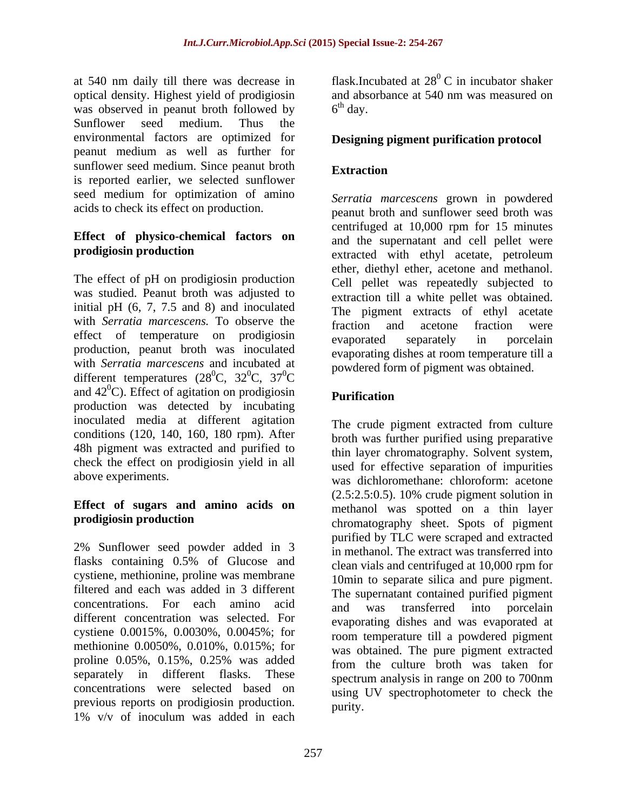at 540 nm daily till there was decrease in optical density. Highest yield of prodigiosin and absorbance at 540 nm was measured on was observed in peanut broth followed by  $6<sup>th</sup>$  day. was observed in peanut broth followed by Sunflower seed medium. Thus the environmental factors are optimized for **Designing pigment purification protocol**  peanut medium as well as further for sunflower seed medium. Since peanut broth Extraction is reported earlier, we selected sunflower seed medium for optimization of amino acids to check its effect on production.

# **Effect of physico-chemical factors on**

The effect of pH on prodigiosin production was studied. Peanut broth was adjusted to initial pH  $(6, 7, 7.5, 7.5)$  and  $(8)$  and inoculated with *Serratia marcescens*. To observe the the traction and acetone fraction were effect of temperature on prodigiosin evaporated separately in porcelain production, peanut broth was inoculated with *Serratia marcescens* and incubated at different temperatures ( $28^{\circ}$ C,  $32^{\circ}$ C,  $37^{\circ}$ C  ${}^{0}C$ ,  $32{}^{0}C$ ,  $37{}^{0}C$  powdered form of pigment was obtained. and  $42^{\circ}$ C). Effect of agitation on prodigiosin **Purification** production was detected by incubating inoculated media at different agitation conditions (120, 140, 160, 180 rpm). After 48h pigment was extracted and purified to thin layer chromatography. Solvent system, check the effect on prodigiosin yield in all<br>used for effective separation of impurities

# **Effect of sugars and amino acids on**

2% Sunflower seed powder added in 3 flasks containing 0.5% of Glucose and cystiene, methionine, proline was membrane filtered and each was added in 3 different concentrations. For each amino acid and was transferred into porcelain different concentration was selected. For cystiene 0.0015%, 0.0030%, 0.0045%; for methionine 0.0050%, 0.010%, 0.015%; for proline 0.05%, 0.15%, 0.25% was added separately in different flasks. These spectrum analysis in range on 200 to 700nm concentrations were selected based on previous reports on prodigiosin production.<br>1% v/v of inoculum was added in each  $1\%$  v/v of inoculum was added in each  $1\%$ 

flask.Incubated at  $28^{\circ}$  C in incubator shaker  $^{0}$  C in incubator shaker and absorbance at 540 nm was measured on  $6<sup>th</sup>$  day.  $\mu$  day.

### **Extraction**

**prodigiosin production**<br>
extracted with ethyl acetate, petroleum  ${}^{0}C$ ,  $37{}^{0}C$  powdered form or pigment was obtained.  ${}^{0}C$  powdered form of pigment was obtained. *Serratia marcescens* grown in powdered peanut broth and sunflower seed broth was centrifuged at 10,000 rpm for 15 minutes and the supernatant and cell pellet were ether, diethyl ether, acetone and methanol. Cell pellet was repeatedly subjected to extraction till a white pellet was obtained. The pigment extracts of ethyl acetate fraction and acetone fraction were evaporated separately in porcelain evaporating dishes at room temperature till a powdered form of pigment was obtained.

### **Purification**

above experiments. was dichloromethane: chloroform: acetone **prodigiosin production**<br>
chromatography sheet. Spots of pigment The crude pigment extracted from culture broth was further purified using preparative thin layer chromatography. Solvent system,<br>used for effective separation of impurities (2.5:2.5:0.5). 10% crude pigment solution in methanol was spotted on a thin layer purified by TLC were scraped and extracted in methanol. The extract was transferred into clean vials and centrifuged at 10,000 rpm for 10min to separate silica and pure pigment. The supernatant contained purified pigment and was transferred into porcelain evaporating dishes and was evaporated at room temperature till a powdered pigment was obtained. The pure pigment extracted from the culture broth was taken for spectrum analysis in range on 200 to 700nm using UV spectrophotometer to check the purity.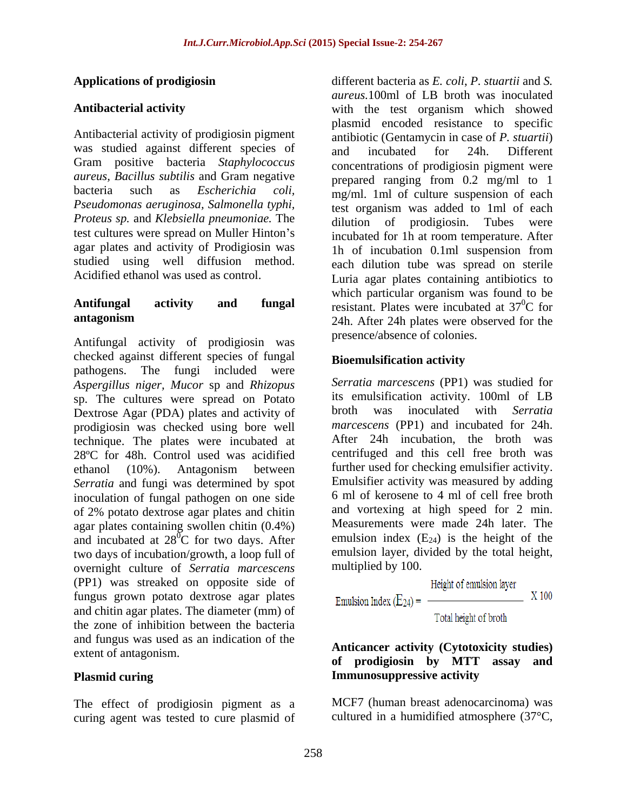Antibacterial activity of prodigiosin pigment was studied against different species of and incubated for 24h. Different Gram positive bacteria *Staphylococcus aureus, Bacillus subtilis* and Gram negative *Proteus sp.* and *Klebsiella pneumoniae*. The dilution of prodigiosin. Tubes were agar plates and activity of Prodigiosin was <br>1h of incubation 0.1ml suspension from

Antifungal activity of prodigiosin was checked against different species of fungal pathogens. The fungi included were *Aspergillus niger, Mucor* sp and *Rhizopus*  sp. The cultures were spread on Potato its emulsification activity. 100ml of LB<br>Dextrose Agar (PDA) plates and activity of broth was inoculated with Serratia Dextrose Agar (PDA) plates and activity of prodigiosin was checked using bore well technique. The plates were incubated at 28ºC for 48h. Control used was acidified ethanol (10%). Antagonism between further used for checking emulsifier activity. *Serratia* and fungi was determined by spot inoculation of fungal pathogen on one side of 2% potato dextrose agar plates and chitin agar plates containing swollen chitin (0.4%) and incubated at  $28^{\circ}$ C for two days. After two days of incubation/growth, a loop full of emulsion layer, di<br>
overnight culture of *Serratia marcescens* multiplied by 100. overnight culture of *Serratia marcescens* (PP1) was streaked on opposite side of fungus grown potato dextrose agar plates and chitin agar plates. The diameter (mm) of  $\qquad$  Total height of broth the zone of inhibition between the bacteria and fungus was used as an indication of the

The effect of prodigiosin pigment as a curing agent was tested to cure plasmid of

**Applications of prodigiosin**  different bacteria as *E. coli*, *P. stuartii* and *S.*  **Antibacterial activity** with the test organism which showed bacteria such as *Escherichia coli*,  $mg/ml$  1ml of culture suspension of each *Pseudomonas aeruginosa, Salmonella typhi,* test organism was added to 1ml of each test cultures were spread on Muller Hinton's incubated for 1h at room temperature. After studied using well diffusion method. each dilution tube was spread on sterile Acidified ethanol was used as control. Luria agar plates containing antibiotics to **Antifungal activity and fungal** resistant. Plates were incubated at 37<sup>0</sup>C for **antagonism** 24h. After 24h plates were observed for the *aureus.*100ml of LB broth was inoculated plasmid encoded resistance to specific antibiotic (Gentamycin in case of *P. stuartii*) and incubated for 24h. Different concentrations of prodigiosin pigment were prepared ranging from 0.2 mg/ml to 1 dilution of prodigiosin. 1h of incubation 0.1ml suspension from which particular organism was found to be  ${}^{0}C$  for presence/absence of colonies.

### **Bioemulsification activity**

 ${}^{0}C$  for two days. After emulsion index (E<sub>24</sub>) is the height of the *Serratia marcescens* (PP1) was studied for its emulsification activity. 100ml of LB broth was inoculated with *Serratia marcescens* (PP1) and incubated for 24h. After 24h incubation, the broth was centrifuged and this cell free broth was further used for checking emulsifier activity. Emulsifier activity was measured by adding 6 ml of kerosene to 4 ml of cell free broth and vortexing at high speed for 2 min. Measurements were made 24h later. The emulsion layer, divided by the total height, multiplied by 100.

$$
Height of emulsion layermuision Index (E24) =
$$

#### extent of antagonism. **of prodigiosin by MTT assay and Plasmid curing Immunosuppressive activity Anticancer activity (Cytotoxicity studies)**

MCF7 (human breast adenocarcinoma) was cultured in a humidified atmosphere (37°C,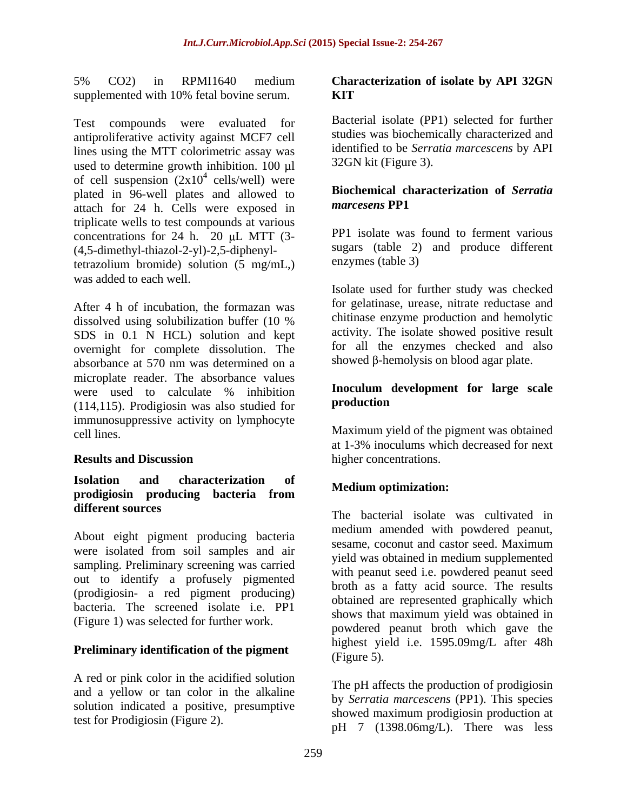5% CO2) in RPMI1640 medium **Characterization of isolate by API 32GN** supplemented with 10% fetal bovine serum. **KIT** 

Test compounds were evaluated for antiproliferative activity against MCF7 cell lines using the MTT colorimetric assay was used to determine growth inhibition. 100 µl of cell suspension  $(2x10^4 \text{ cells/well})$  were  $\frac{4}{4}$  collection<sup>11</sup>) were cells/well) were plated in 96-well plates and allowed to **Biochemical c**<br>extern for 24 h Colle were available **numerical contract PP1** attach for 24 h. Cells were exposed in triplicate wells to test compounds at various concentrations for 24 h. 20  $\mu$ L MTT (3-(4,5-dimethyl-thiazol-2-yl)-2,5-diphenyltetrazolium bromide) solution  $(5 \text{ mg/mL})$  enzymes (table 3) was added to each well. SS. CO2) in RWM11601 mediant Characterization of bolate by API 32GN<br>
supplemented with this head to produce the product of the content<br>
Tech compounds were vestured by the Bostonic and the product of the<br>
interaction of t

After 4 h of incubation, the formazan was dissolved using solubilization buffer (10 % SDS in 0.1 N HCL) solution and kept overnight for complete dissolution. The absorbance at 570 nm was determined on a microplate reader. The absorbance values were used to calculate % inhibition **Inoculum development for large scale** (114,115). Prodigiosin was also studied for immunosuppressive activity on lymphocyte cell lines. Maximum yield of the pigment was obtained

## **Isolation and characterization of prodigiosin producing bacteria from**

About eight pigment producing bacteria<br>sesame coconut and castor seed. Maximum were isolated from soil samples and air sampling. Preliminary screening was carried out to identify a profusely pigmented (prodigiosin- a red pigment producing) bacteria. The screened isolate i.e. PP1 (Figure 1) was selected for further work.

## **Preliminary identification of the pigment** Figure 5).

A red or pink color in the acidified solution and a yellow or tan color in the alkaline solution indicated a positive, presumptive

## **KIT**

Bacterial isolate (PP1) selected for further studies was biochemically characterized and identified to be *Serratia marcescens* by API 32GN kit (Figure 3).

#### **Biochemical characterization of** *Serratia marcesens* **PP1**

PP1 isolate was found to ferment various sugars (table 2) and produce different enzymes (table 3)

Isolate used for further study was checked for gelatinase, urease, nitrate reductase and chitinase enzyme production and hemolytic activity. The isolate showed positive result for all the enzymes checked and also showed  $\beta$ -hemolysis on blood agar plate.

#### **Inoculum development for large scale production**

**Results and Discussion higher concentrations.** at 1-3% inoculums which decreased for next higher concentrations.

### **Medium optimization:**

**different sources** The bacterial isolate was cultivated in medium amended with powdered peanut, sesame, coconut and castor seed. Maximum yield was obtained in medium supplemented with peanut seed i.e. powdered peanut seed broth as a fatty acid source. The results obtained are represented graphically which shows that maximum yield was obtained in powdered peanut broth which gave the highest yield i.e. 1595.09mg/L after 48h (Figure 5).

> The pH affects the production of prodigiosin by *Serratia marcescens* (PP1). This species showed maximum prodigiosin production at pH 7 (1398.06mg/L). There was less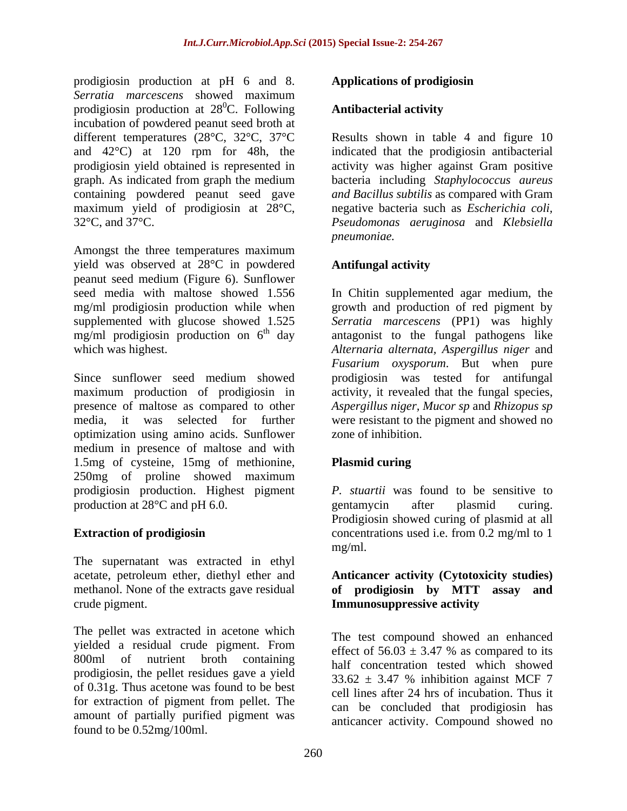prodigiosin production at pH 6 and 8. **Applications of prodigiosin** *Serratia marcescens* showed maximum prodigiosin production at  $28^{\circ}$ C. Following incubation of powdered peanut seed broth at and 42°C) at 120 rpm for 48h, the maximum yield of prodigiosin at 28°C,

Amongst the three temperatures maximum yield was observed at 28°C in powdered **Antifungal activity** peanut seed medium (Figure 6). Sunflower seed media with maltose showed 1.556 In Chitin supplemented agar medium, the mg/ml prodigiosin production while when growth and production of red pigment by supplemented with glucose showed 1.525 *Serratia marcescens* (PP1) was highly  $mg/ml$  prodigiosin production on  $6<sup>th</sup>$  day antagonist to the fungal pathogens like

Since sunflower seed medium showed prodigiosin was tested for antifungal maximum production of prodigiosin in activity, it revealed that the fungal species, presence of maltose as compared to other *Aspergillus niger, Mucor sp* and *Rhizopus sp*  media, it was selected for further were resistant to the pigment and showed no optimization using amino acids. Sunflower medium in presence of maltose and with 1.5mg of cysteine, 15mg of methionine, 250mg of proline showed maximum prodigiosin production. Highest pigment *P. stuartii* was found to be sensitive to production at 28<sup>o</sup>C and pH 6.0. entamycin after plasmid curing.

The supernatant was extracted in ethyl acetate, petroleum ether, diethyl ether and **Anticancer activity (Cytotoxicity studies)** methanol. None of the extracts gave residual **of prodigiosin by MTT assay and** crude pigment. **Immunosuppressive activity**

The pellet was extracted in acetone which yielded a residual crude pigment. From  $\frac{1}{2}$  effect of  $56.03 \pm 3.47$  % as compared to its 800ml of nutrient broth containing prodigiosin, the pellet residues gave a yield<br> $33.62 \pm 3.47$  % inhibition against MCF 7 of 0.31g. Thus acetone was found to be best for extraction of pigment from pellet. The amount of partially purified pigment was found to be 0.52mg/100ml.

### **Applications of prodigiosin**

#### **Antibacterial activity Antibacterial activity**

different temperatures (28°C, 32°C, 37°C Results shown in table 4 and figure 10 prodigiosin yield obtained is represented in activity was higher against Gram positive graph. As indicated from graph the medium bacteria including *Staphylococcus aureus* containing powdered peanut seed gave *and Bacillus subtilis* as compared with Gram 32°C, and 37°C. *Pseudomonas aeruginosa* and *Klebsiella*  indicated that the prodigiosin antibacterial negative bacteria such as *Escherichia coli, pneumoniae.*

### **Antifungal activity**

which was highest. *Alternaria alternata, Aspergillus niger* and *Fusarium oxysporum*. But when pure zone of inhibition.

### **Plasmid curing**

**Extraction of prodigiosin** concentrations used i.e. from 0.2 mg/ml to 1 gentamycin after plasmid curing. Prodigiosin showed curing of plasmid at all mg/ml.

The test compound showed an enhanced effect of  $56.03 \pm 3.47$  % as compared to its half concentration tested which showed  $33.62 \pm 3.47$  % inhibition against MCF 7 cell lines after 24 hrs of incubation. Thus it can be concluded that prodigiosin has anticancer activity. Compound showed no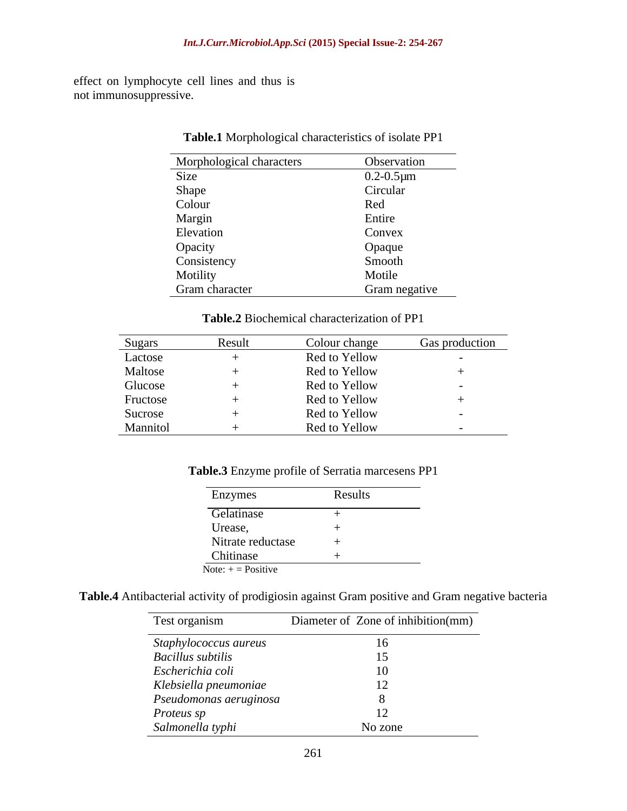effect on lymphocyte cell lines and thus is not immunosuppressive.

| Morphological characters | Observation       |
|--------------------------|-------------------|
| Size                     | $0.2 - 0.5 \mu m$ |
| Shape                    | Circular          |
| Colour                   | Red               |
| Margin                   | Entire            |
| Elevation                | Convex            |
| Opacity                  | Opaque            |
| Consistency              | Smooth            |
| Motility                 | Motile            |
| Gram character           | Gram negative     |

**Table.1** Morphological characteristics of isolate PP1

**Table.2** Biochemical characterization of PP1

| Sugars   | Result | Colour change | <b>Gas production</b> |
|----------|--------|---------------|-----------------------|
| Lactose  |        | Red to Yellow |                       |
| Maltose  |        | Red to Yellow |                       |
| Glucose  |        | Red to Yellow |                       |
| Fructose |        | Red to Yellow |                       |
| Sucrose  |        | Red to Yellow |                       |
| Mannitol |        | Red to Yellow |                       |

**Table.3** Enzyme profile of Serratia marcesens PP1

| Enzymes              | Results |
|----------------------|---------|
| Gelatinase           |         |
| Urease,              |         |
| Nitrate reductase    |         |
| Chitinase            |         |
| Note: $+$ = Positive |         |

**Table.4** Antibacterial activity of prodigiosin against Gram positive and Gram negative bacteria

| Test organism          | Diameter of Zone of inhibition(mm) |
|------------------------|------------------------------------|
| Staphylococcus aureus  | 16                                 |
| Bacillus subtilis      |                                    |
| Escherichia coli       | 10                                 |
| Klebsiella pneumoniae  | 12                                 |
| Pseudomonas aeruginosa |                                    |
| <i>Proteus sp</i>      | $\perp$                            |
| Salmonella typhi       | No zone                            |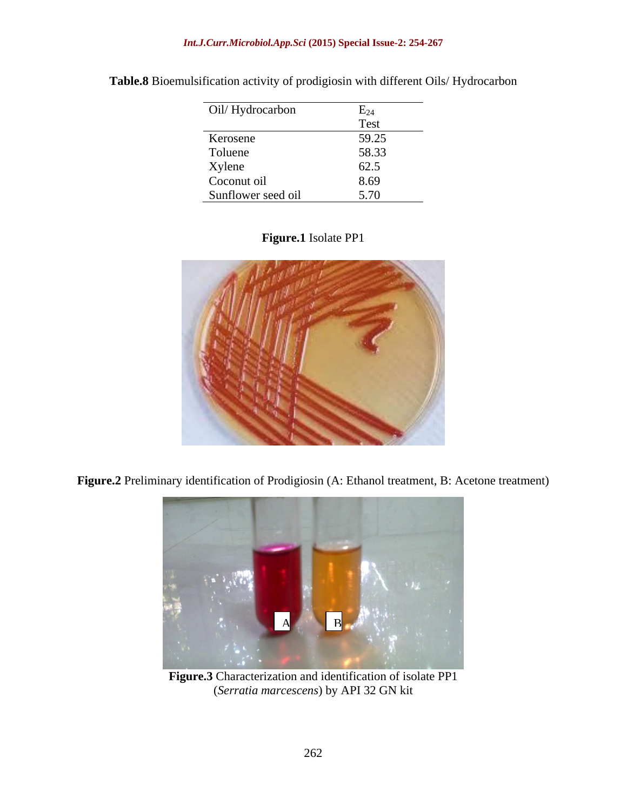| Oil/Hydrocarbon    | $E_{24}$    |
|--------------------|-------------|
|                    | <b>Test</b> |
| Kerosene           | 59.25       |
| Toluene            | 58.33       |
| Xylene             | 62.5        |
| Coconut oil        | 8.69        |
| Sunflower seed oil | 5.70        |

**Table.8** Bioemulsification activity of prodigiosin with different Oils/ Hydrocarbon

#### **Figure.1** Isolate PP1



**Figure.2** Preliminary identification of Prodigiosin (A: Ethanol treatment, B: Acetone treatment)



**Figure.3** Characterization and identification of isolate PP1 (*Serratia marcescens*) by API 32 GN kit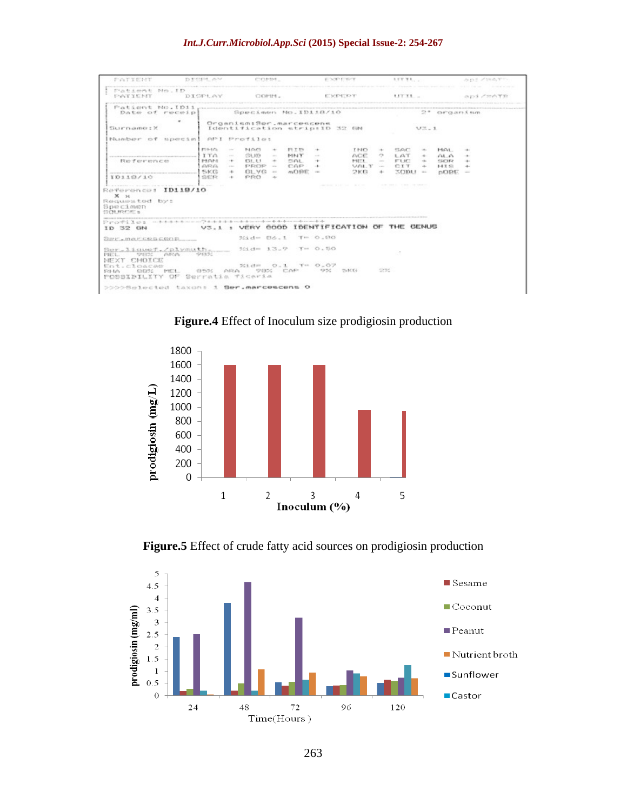#### *Int.J.Curr.Microbiol.App.Sci* **(2015) Special Issue-2: 254-267**

| PATIENT                                                                                                                                                                                                                                          | IS MANUAL USAN                                           | COMM.                                                                                                                                                                               |                                                     | EDOPENDY                                                    |                                      |                                                                                              | 157 TL.     |                                                                                                                      | Joseph Armed, Miller             |  |
|--------------------------------------------------------------------------------------------------------------------------------------------------------------------------------------------------------------------------------------------------|----------------------------------------------------------|-------------------------------------------------------------------------------------------------------------------------------------------------------------------------------------|-----------------------------------------------------|-------------------------------------------------------------|--------------------------------------|----------------------------------------------------------------------------------------------|-------------|----------------------------------------------------------------------------------------------------------------------|----------------------------------|--|
| Patient No.ID<br>PATYENT                                                                                                                                                                                                                         |                                                          | DISPLAY COMM. EXPERT                                                                                                                                                                |                                                     |                                                             |                                      |                                                                                              |             |                                                                                                                      | api/mATH                         |  |
| Patient No. ID11, processes and construction of the component of the continuum of the continuum of the continuum of the continuum of the continuum of the continuum of the continuum of the continuum of the continuum of the<br>Date of receip! |                                                          | Specimen No.ID118/10                                                                                                                                                                |                                                     |                                                             |                                      |                                                                                              |             | $2*$ $\alpha r$ $\alpha n$ $\beta$ $\alpha m$                                                                        |                                  |  |
| $\sim$<br>Surname: X                                                                                                                                                                                                                             |                                                          | Organism:Sor.marcescens<br>Identification stripilD 32 GM                                                                                                                            |                                                     |                                                             |                                      |                                                                                              | V3.1        |                                                                                                                      |                                  |  |
| Number of special                                                                                                                                                                                                                                |                                                          | API Profilet                                                                                                                                                                        |                                                     |                                                             |                                      |                                                                                              |             |                                                                                                                      |                                  |  |
| Reference<br>the company of the company of the company of the company of the company<br>10110/10<br>Reference: ID119/10<br>X <sub>24</sub><br>Requested by:<br>Specimen<br>STOLEN COMPANY                                                        | 423-1456<br>I TA<br>PEOPS<br><b>OFFICE</b><br>野尾島<br>SER | NOG<br><b>ANT</b><br>$\Delta \omega$<br>$-126.932$<br><b>State</b><br><b>College</b><br>131.1.1<br>THE R<br>PROP -<br>Contact of<br>$GLVO =$<br>Content<br>PRO<br><b>CONTRACTOR</b> | RIB<br><b>MNT</b><br>$+$ 501 +<br>CAP +<br>$mDBE =$ | $-4-$<br><b>STATE</b><br>continued "A" life" to a residence | TNO<br>ACE.<br>MET.<br>VAL T<br>2103 | SAC.<br>$-44$<br>$\rightarrow$<br>L GT<br>FUC.<br>Total Corp.<br><b>CIT</b><br>Contractor of | <b>KODU</b> | 14.01 -<br>Seller C<br>0.100<br>ALC:<br>13/382<br>when the<br>$HI \n\subseteq$<br>Table 1<br>$BORE =$<br><b>SELL</b> | <b>Contract Contract</b><br>$+1$ |  |
| ProPLICE - characteristic contractions and constructions and construction<br>ID 32 GN                                                                                                                                                            |                                                          | V3.1 : VERY GOOD IDENTIFICATION OF THE GENUS                                                                                                                                        |                                                     |                                                             |                                      |                                                                                              |             |                                                                                                                      |                                  |  |
| 設計に、所点になり出品税の単                                                                                                                                                                                                                                   |                                                          | %id= 86.1 T= 0.80                                                                                                                                                                   |                                                     |                                                             |                                      |                                                                                              |             |                                                                                                                      |                                  |  |
| Suralismet. Calxmath. xid= 13.9 T= 0.50<br>- 99320<br>98% ARA<br>PIEL.<br>NEXT CMOICE<br>%idm 0.1 Tm 0.07<br>Ent.cloacae<br>230<br>ARA 98% CAP 9%<br>HyBCCG.<br>(日当25)<br>ENERGY PHEN<br>523-845<br>POSSIBILITY OF Serratia Ticaria              |                                                          |                                                                                                                                                                                     |                                                     |                                                             |                                      |                                                                                              |             |                                                                                                                      |                                  |  |
| DODDSBIRGtod taxon: 1 Ser.marcescens O                                                                                                                                                                                                           |                                                          |                                                                                                                                                                                     |                                                     |                                                             |                                      |                                                                                              |             |                                                                                                                      |                                  |  |

**Figure.4** Effect of Inoculum size prodigiosin production



**Figure.5** Effect of crude fatty acid sources on prodigiosin production

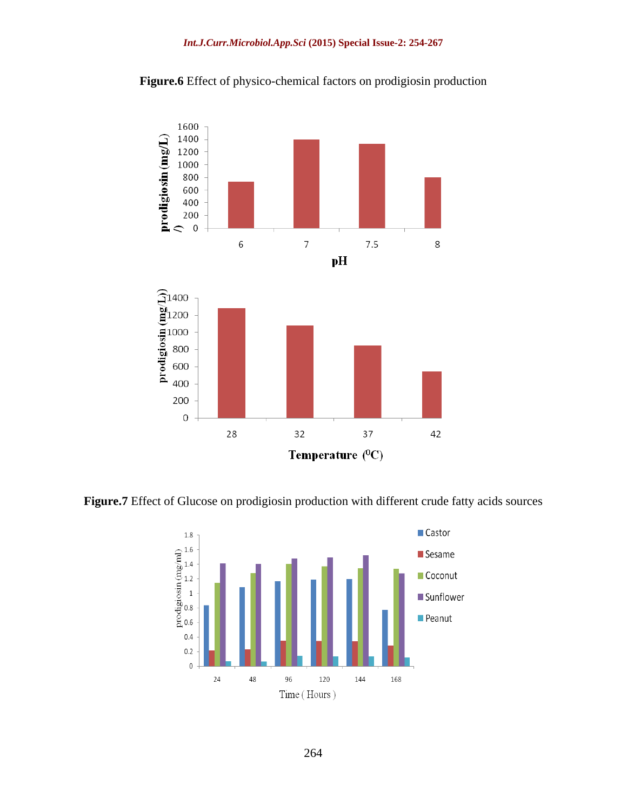



**Figure.7** Effect of Glucose on prodigiosin production with different crude fatty acids sources

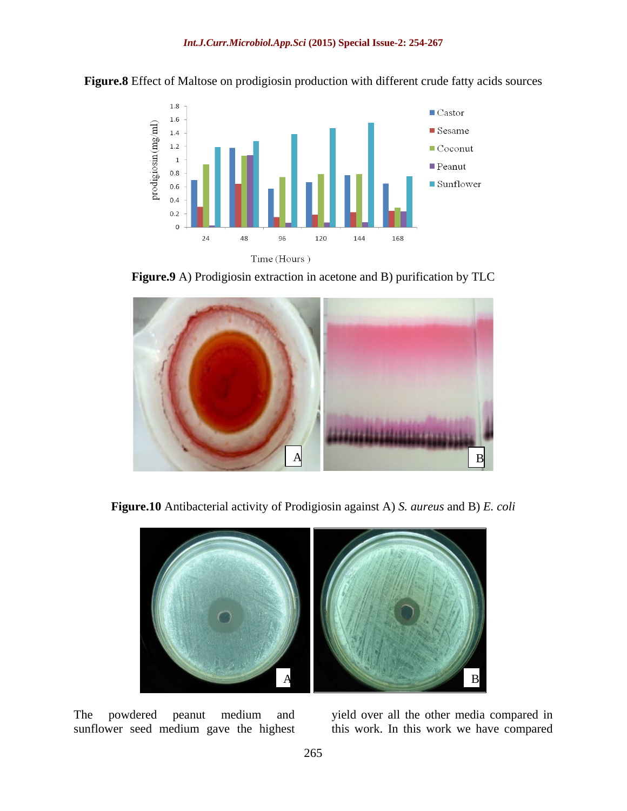

**Figure.8** Effect of Maltose on prodigiosin production with different crude fatty acids sources





**Figure.10** Antibacterial activity of Prodigiosin against A) *S. aureus* and B) *E. coli*



The powdered peanut medium and yield over all the other media compared in sunflower seed medium gave the highest this work. In this work we have compared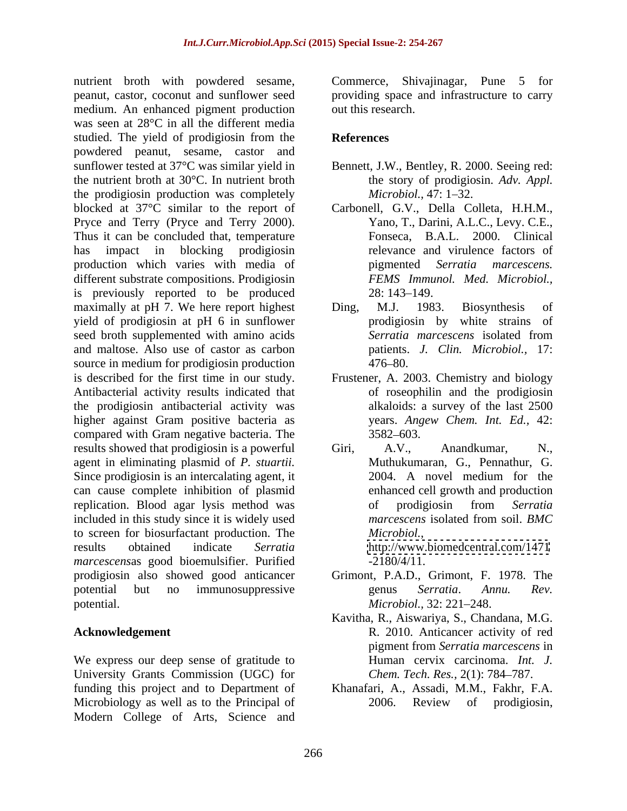nutrient broth with powdered sesame, peanut, castor, coconut and sunflower seed providing space and infrastructure to carry medium. An enhanced pigment production out this research. was seen at 28°C in all the different media studied. The yield of prodigiosin from the References powdered peanut, sesame, castor and sunflower tested at 37°C was similar yield in Bennett, J.W., Bentley, R. 2000. Seeing red: the nutrient broth at 30°C. In nutrient broth the prodigiosin production was completely *Microbiol.*, 47: 1–32. blocked at 37°C similar to the report of Carbonell, G.V., Della Colleta, H.H.M., Pryce and Terry (Pryce and Terry 2000). Yano, T., Darini, A.L.C., Levy. C.E.,<br>Thus it can be concluded that, temperature Fonseca, B.A.L. 2000. Clinical has impact in blocking prodigiosin production which varies with media of pigmented Serratia marcescens. different substrate compositions. Prodigiosin is previously reported to be produced maximally at pH 7. We here report highest Ding, M.J. 1983. Biosynthesis of yield of prodigiosin at pH 6 in sunflower seed broth supplemented with amino acids Serratia marcescens isolated from and maltose. Also use of castor as carbon source in medium for prodigiosin production 476–80. is described for the first time in our study. Frustener, A. 2003. Chemistry and biology Antibacterial activity results indicated that the prodigiosin antibacterial activity was higher against Gram positive bacteria as compared with Gram negative bacteria. The 3582–603. results showed that prodigiosin is a powerful Giri, A.V., Anandkumar, N., agent in eliminating plasmid of *P. stuartii.* Since prodigiosin is an intercalating agent, it 2004. A novel medium for the can cause complete inhibition of plasmid replication. Blood agar lysis method was of prodigiosin from Serratia included in this study since it is widely used marcescens isolated from soil. BMC to screen for biosurfactant production. The results obtained indicate *Serratia*  <http://www.biomedcentral.com/1471> *marcescens*as good bioemulsifier. Purified prodigiosin also showed good anticancer potential but no immunosuppressive senus Serratia. Annu. Rev. potential. Microbiol., 32: 221–248.

We express our deep sense of gratitude to University Grants Commission (UGC) for funding this project and to Department of Khanafari, A., Assadi, M.M., Fakhr, F.A. Microbiology as well as to the Principal of 2006. Review of prodigiosin, Modern College of Arts, Science and

Commerce, Shivajinagar, Pune 5 for out this research.

#### **References**

- the story of prodigiosin. *Adv. Appl. Microbiol.,* 47: 1–32.
- Yano, T., Darini, A.L.C., Levy. C.E., Fonseca, B.A.L. 2000. Clinical relevance and virulence factors of pigmented *Serratia marcescens. FEMS Immunol. Med. Microbiol.,* 28: 143–149.
- Ding, M.J. 1983. Biosynthesis of prodigiosin by white strains of *Serratia marcescens* isolated from patients. *J. Clin. Microbiol.,* 17:  $476 - 80.$
- of roseophilin and the prodigiosin alkaloids: a survey of the last 2500 years. *Angew Chem. Int. Ed.,* 42: 3582 603.
- Giri, A.V., Anandkumar, N., Muthukumaran, G., Pennathur, G. 2004. A novel medium for the enhanced cell growth and production of prodigiosin from *Serratia marcescens* isolated from soil. *BMC Microbiol.,* -2180/4/11.
- Grimont, P.A.D., Grimont, F. 1978. The genus *Serratia*. *Annu. Rev. Microbiol.,* 32: 221–248.
- **Acknowledgement**  R. 2010. Anticancer activity of red Kavitha, R., Aiswariya, S., Chandana, M.G. pigment from *Serratia marcescens* in Human cervix carcinoma. *Int. J. Chem. Tech. Res.,* 2(1): 784–787.
	- 2006. Review of prodigiosin,